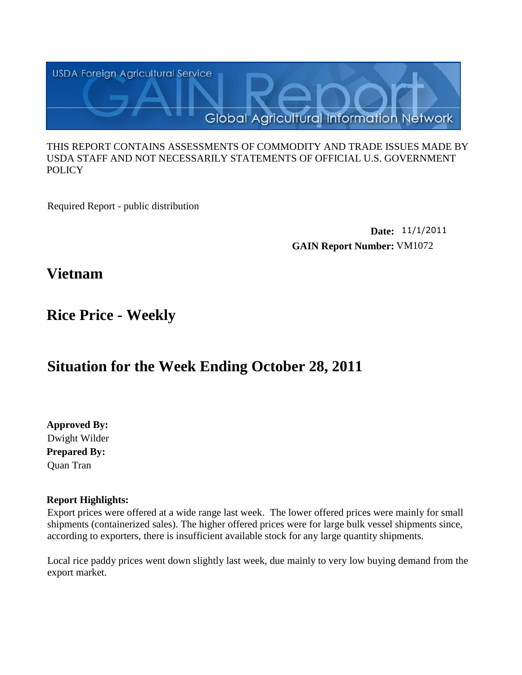

#### THIS REPORT CONTAINS ASSESSMENTS OF COMMODITY AND TRADE ISSUES MADE BY USDA STAFF AND NOT NECESSARILY STATEMENTS OF OFFICIAL U.S. GOVERNMENT **POLICY**

Required Report - public distribution

**Date:** 11/1/2011 **GAIN Report Number:** VM1072

**Vietnam**

## **Rice Price - Weekly**

# **Situation for the Week Ending October 28, 2011**

**Approved By: Prepared By:** Quan Tran Dwight Wilder

#### **Report Highlights:**

Export prices were offered at a wide range last week. The lower offered prices were mainly for small shipments (containerized sales). The higher offered prices were for large bulk vessel shipments since, according to exporters, there is insufficient available stock for any large quantity shipments.

Local rice paddy prices went down slightly last week, due mainly to very low buying demand from the export market.